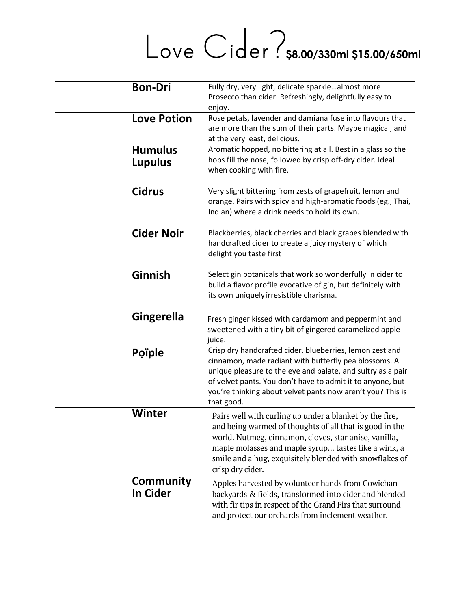# Love Cider? \$8.00/330ml \$15.00/650ml

| <b>Bon-Dri</b>                   | Fully dry, very light, delicate sparklealmost more<br>Prosecco than cider. Refreshingly, delightfully easy to<br>enjoy.                                                                                                                                                                                                    |
|----------------------------------|----------------------------------------------------------------------------------------------------------------------------------------------------------------------------------------------------------------------------------------------------------------------------------------------------------------------------|
| <b>Love Potion</b>               | Rose petals, lavender and damiana fuse into flavours that<br>are more than the sum of their parts. Maybe magical, and<br>at the very least, delicious.                                                                                                                                                                     |
| <b>Humulus</b><br><b>Lupulus</b> | Aromatic hopped, no bittering at all. Best in a glass so the<br>hops fill the nose, followed by crisp off-dry cider. Ideal<br>when cooking with fire.                                                                                                                                                                      |
| <b>Cidrus</b>                    | Very slight bittering from zests of grapefruit, lemon and<br>orange. Pairs with spicy and high-aromatic foods (eg., Thai,<br>Indian) where a drink needs to hold its own.                                                                                                                                                  |
| <b>Cider Noir</b>                | Blackberries, black cherries and black grapes blended with<br>handcrafted cider to create a juicy mystery of which<br>delight you taste first                                                                                                                                                                              |
| Ginnish                          | Select gin botanicals that work so wonderfully in cider to<br>build a flavor profile evocative of gin, but definitely with<br>its own uniquely irresistible charisma.                                                                                                                                                      |
| <b>Gingerella</b>                | Fresh ginger kissed with cardamom and peppermint and<br>sweetened with a tiny bit of gingered caramelized apple<br>juice.                                                                                                                                                                                                  |
| <b>Poiple</b>                    | Crisp dry handcrafted cider, blueberries, lemon zest and<br>cinnamon, made radiant with butterfly pea blossoms. A<br>unique pleasure to the eye and palate, and sultry as a pair<br>of velvet pants. You don't have to admit it to anyone, but<br>you're thinking about velvet pants now aren't you? This is<br>that good. |
| Winter                           | Pairs well with curling up under a blanket by the fire,<br>and being warmed of thoughts of all that is good in the<br>world. Nutmeg, cinnamon, cloves, star anise, vanilla,<br>maple molasses and maple syrup tastes like a wink, a<br>smile and a hug, exquisitely blended with snowflakes of<br>crisp dry cider.         |
| Community<br><b>In Cider</b>     | Apples harvested by volunteer hands from Cowichan<br>backyards & fields, transformed into cider and blended<br>with fir tips in respect of the Grand Firs that surround<br>and protect our orchards from inclement weather.                                                                                                |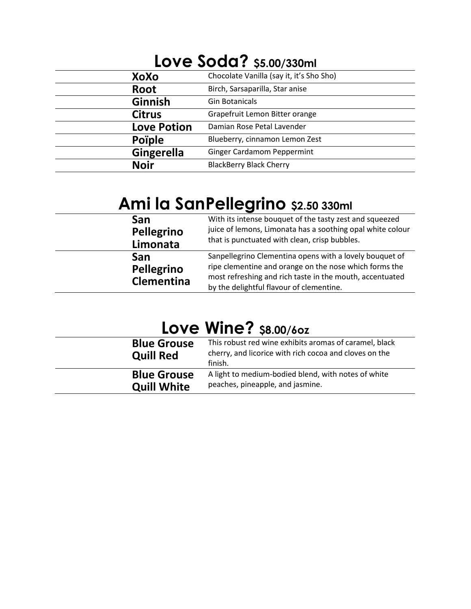| <b>LOVE SOCIO?</b> \$5.00/330ml |                                          |
|---------------------------------|------------------------------------------|
| XoXo                            | Chocolate Vanilla (say it, it's Sho Sho) |
| Root                            | Birch, Sarsaparilla, Star anise          |
| <b>Ginnish</b>                  | <b>Gin Botanicals</b>                    |
| <b>Citrus</b>                   | Grapefruit Lemon Bitter orange           |
| <b>Love Potion</b>              | Damian Rose Petal Lavender               |
| <b>Poiple</b>                   | Blueberry, cinnamon Lemon Zest           |
| <b>Gingerella</b>               | <b>Ginger Cardamom Peppermint</b>        |
| <b>Noir</b>                     | <b>BlackBerry Black Cherry</b>           |

#### **Love Soda? \$5.00/330ml**

## **Ami la SanPellegrino \$2.50 330ml**

| San                                           | With its intense bouquet of the tasty zest and squeezed                                                                                                                                                                   |
|-----------------------------------------------|---------------------------------------------------------------------------------------------------------------------------------------------------------------------------------------------------------------------------|
| Pellegrino                                    | juice of lemons, Limonata has a soothing opal white colour                                                                                                                                                                |
| Limonata                                      | that is punctuated with clean, crisp bubbles.                                                                                                                                                                             |
| <b>San</b><br>Pellegrino<br><b>Clementina</b> | Sanpellegrino Clementina opens with a lovely bouquet of<br>ripe clementine and orange on the nose which forms the<br>most refreshing and rich taste in the mouth, accentuated<br>by the delightful flavour of clementine. |

#### **Love Wine? \$8.00/6oz**

| <b>Blue Grouse</b><br><b>Quill Red</b> | This robust red wine exhibits aromas of caramel, black<br>cherry, and licorice with rich cocoa and cloves on the<br>finish. |
|----------------------------------------|-----------------------------------------------------------------------------------------------------------------------------|
| <b>Blue Grouse</b>                     | A light to medium-bodied blend, with notes of white                                                                         |
| <b>Quill White</b>                     | peaches, pineapple, and jasmine.                                                                                            |